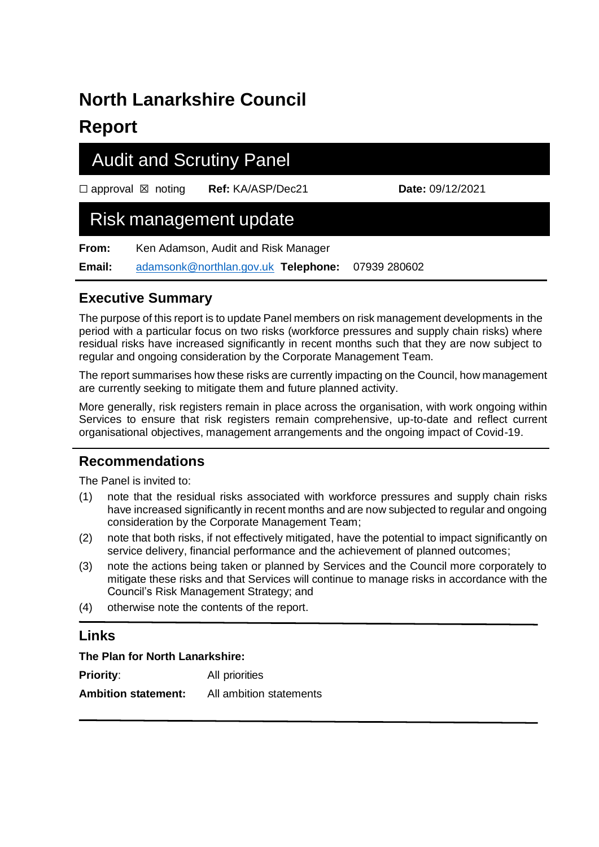# **North Lanarkshire Council Report**

## Audit and Scrutiny Panel

☐ approval ☒ noting **Ref:** KA/ASP/Dec21 **Date:** 09/12/2021

## Risk management update

**From:** Ken Adamson, Audit and Risk Manager

**Email:** [adamsonk@northlan.gov.uk](mailto:adamsonk@northlan.gov.uk) **Telephone:** 07939 280602

## **Executive Summary**

The purpose of this report is to update Panel members on risk management developments in the period with a particular focus on two risks (workforce pressures and supply chain risks) where residual risks have increased significantly in recent months such that they are now subject to regular and ongoing consideration by the Corporate Management Team.

The report summarises how these risks are currently impacting on the Council, how management are currently seeking to mitigate them and future planned activity.

More generally, risk registers remain in place across the organisation, with work ongoing within Services to ensure that risk registers remain comprehensive, up-to-date and reflect current organisational objectives, management arrangements and the ongoing impact of Covid-19.

### **Recommendations**

The Panel is invited to:

- (1) note that the residual risks associated with workforce pressures and supply chain risks have increased significantly in recent months and are now subjected to regular and ongoing consideration by the Corporate Management Team;
- (2) note that both risks, if not effectively mitigated, have the potential to impact significantly on service delivery, financial performance and the achievement of planned outcomes;
- (3) note the actions being taken or planned by Services and the Council more corporately to mitigate these risks and that Services will continue to manage risks in accordance with the Council's Risk Management Strategy; and
- (4) otherwise note the contents of the report.

### **Links**

#### **The Plan for North Lanarkshire:**

**Priority:** All priorities **Ambition statement:** All ambition statements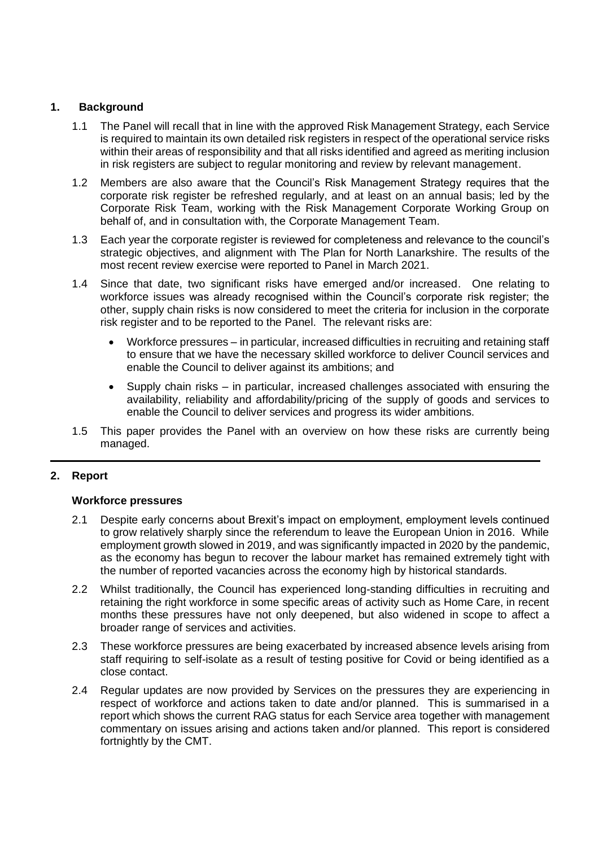#### **1. Background**

- 1.1 The Panel will recall that in line with the approved Risk Management Strategy, each Service is required to maintain its own detailed risk registers in respect of the operational service risks within their areas of responsibility and that all risks identified and agreed as meriting inclusion in risk registers are subject to regular monitoring and review by relevant management.
- 1.2 Members are also aware that the Council's Risk Management Strategy requires that the corporate risk register be refreshed regularly, and at least on an annual basis; led by the Corporate Risk Team, working with the Risk Management Corporate Working Group on behalf of, and in consultation with, the Corporate Management Team.
- 1.3 Each year the corporate register is reviewed for completeness and relevance to the council's strategic objectives, and alignment with The Plan for North Lanarkshire. The results of the most recent review exercise were reported to Panel in March 2021.
- 1.4 Since that date, two significant risks have emerged and/or increased. One relating to workforce issues was already recognised within the Council's corporate risk register; the other, supply chain risks is now considered to meet the criteria for inclusion in the corporate risk register and to be reported to the Panel. The relevant risks are:
	- Workforce pressures in particular, increased difficulties in recruiting and retaining staff to ensure that we have the necessary skilled workforce to deliver Council services and enable the Council to deliver against its ambitions; and
	- Supply chain risks in particular, increased challenges associated with ensuring the availability, reliability and affordability/pricing of the supply of goods and services to enable the Council to deliver services and progress its wider ambitions.
- 1.5 This paper provides the Panel with an overview on how these risks are currently being managed.

#### **2. Report**

#### **Workforce pressures**

- 2.1 Despite early concerns about Brexit's impact on employment, employment levels continued to grow relatively sharply since the referendum to leave the European Union in 2016. While employment growth slowed in 2019, and was significantly impacted in 2020 by the pandemic, as the economy has begun to recover the labour market has remained extremely tight with the number of reported vacancies across the economy high by historical standards.
- 2.2 Whilst traditionally, the Council has experienced long-standing difficulties in recruiting and retaining the right workforce in some specific areas of activity such as Home Care, in recent months these pressures have not only deepened, but also widened in scope to affect a broader range of services and activities.
- 2.3 These workforce pressures are being exacerbated by increased absence levels arising from staff requiring to self-isolate as a result of testing positive for Covid or being identified as a close contact.
- 2.4 Regular updates are now provided by Services on the pressures they are experiencing in respect of workforce and actions taken to date and/or planned. This is summarised in a report which shows the current RAG status for each Service area together with management commentary on issues arising and actions taken and/or planned. This report is considered fortnightly by the CMT.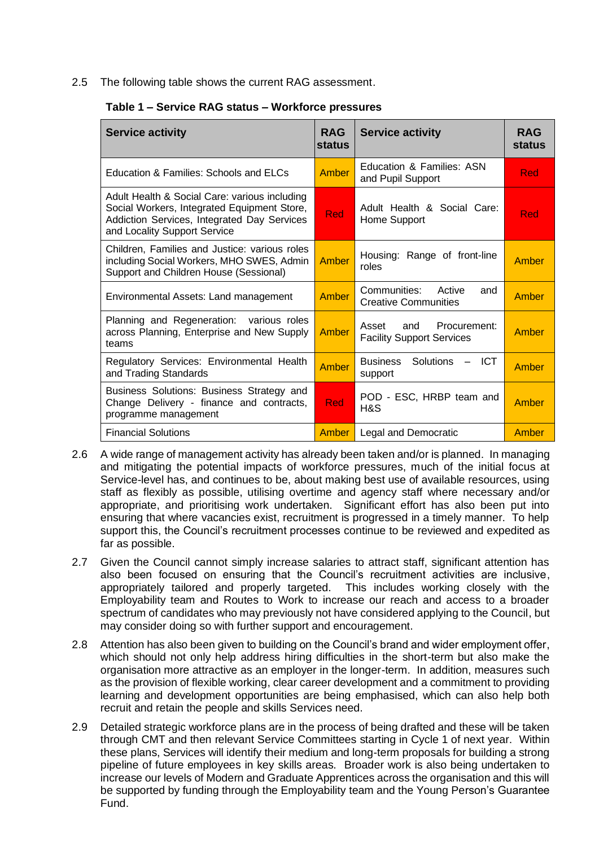2.5 The following table shows the current RAG assessment.

| <b>Service activity</b>                                                                                                                                                     | <b>RAG</b><br><b>status</b> | <b>Service activity</b>                                          | <b>RAG</b><br><b>status</b> |
|-----------------------------------------------------------------------------------------------------------------------------------------------------------------------------|-----------------------------|------------------------------------------------------------------|-----------------------------|
| Education & Families: Schools and ELCs                                                                                                                                      | Amber                       | Education & Families: ASN<br>and Pupil Support                   | Red                         |
| Adult Health & Social Care: various including<br>Social Workers, Integrated Equipment Store,<br>Addiction Services, Integrated Day Services<br>and Locality Support Service | <b>Red</b>                  | Adult Health & Social Care:<br>Home Support                      | Red                         |
| Children, Families and Justice: various roles<br>including Social Workers, MHO SWES, Admin<br>Support and Children House (Sessional)                                        | <b>Amber</b>                | Housing: Range of front-line<br>roles                            | Amber                       |
| Environmental Assets: Land management                                                                                                                                       | Amber                       | Communities: Active<br>and<br><b>Creative Communities</b>        | Amber                       |
| Planning and Regeneration: various roles<br>across Planning, Enterprise and New Supply<br>teams                                                                             | Amber                       | Procurement:<br>Asset<br>and<br><b>Facility Support Services</b> | Amber                       |
| Regulatory Services: Environmental Health<br>and Trading Standards                                                                                                          | <b>Amber</b>                | <b>Business</b><br><b>Solutions</b><br><b>ICT</b><br>support     | Amber                       |
| Business Solutions: Business Strategy and<br>Change Delivery - finance and contracts,<br>programme management                                                               | Red                         | POD - ESC, HRBP team and<br>H&S                                  | Amber                       |
| <b>Financial Solutions</b>                                                                                                                                                  | Amber                       | Legal and Democratic                                             | Amber                       |

#### **Table 1 – Service RAG status – Workforce pressures**

- 2.6 A wide range of management activity has already been taken and/or is planned. In managing and mitigating the potential impacts of workforce pressures, much of the initial focus at Service-level has, and continues to be, about making best use of available resources, using staff as flexibly as possible, utilising overtime and agency staff where necessary and/or appropriate, and prioritising work undertaken. Significant effort has also been put into ensuring that where vacancies exist, recruitment is progressed in a timely manner. To help support this, the Council's recruitment processes continue to be reviewed and expedited as far as possible.
- 2.7 Given the Council cannot simply increase salaries to attract staff, significant attention has also been focused on ensuring that the Council's recruitment activities are inclusive, appropriately tailored and properly targeted. This includes working closely with the Employability team and Routes to Work to increase our reach and access to a broader spectrum of candidates who may previously not have considered applying to the Council, but may consider doing so with further support and encouragement.
- 2.8 Attention has also been given to building on the Council's brand and wider employment offer, which should not only help address hiring difficulties in the short-term but also make the organisation more attractive as an employer in the longer-term. In addition, measures such as the provision of flexible working, clear career development and a commitment to providing learning and development opportunities are being emphasised, which can also help both recruit and retain the people and skills Services need.
- 2.9 Detailed strategic workforce plans are in the process of being drafted and these will be taken through CMT and then relevant Service Committees starting in Cycle 1 of next year. Within these plans, Services will identify their medium and long-term proposals for building a strong pipeline of future employees in key skills areas. Broader work is also being undertaken to increase our levels of Modern and Graduate Apprentices across the organisation and this will be supported by funding through the Employability team and the Young Person's Guarantee Fund.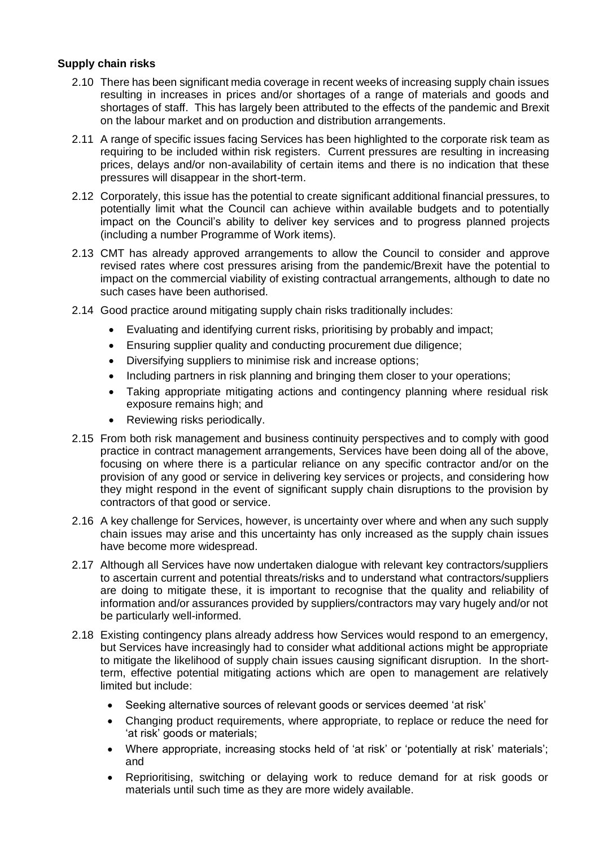#### **Supply chain risks**

- 2.10 There has been significant media coverage in recent weeks of increasing supply chain issues resulting in increases in prices and/or shortages of a range of materials and goods and shortages of staff. This has largely been attributed to the effects of the pandemic and Brexit on the labour market and on production and distribution arrangements.
- 2.11 A range of specific issues facing Services has been highlighted to the corporate risk team as requiring to be included within risk registers. Current pressures are resulting in increasing prices, delays and/or non-availability of certain items and there is no indication that these pressures will disappear in the short-term.
- 2.12 Corporately, this issue has the potential to create significant additional financial pressures, to potentially limit what the Council can achieve within available budgets and to potentially impact on the Council's ability to deliver key services and to progress planned projects (including a number Programme of Work items).
- 2.13 CMT has already approved arrangements to allow the Council to consider and approve revised rates where cost pressures arising from the pandemic/Brexit have the potential to impact on the commercial viability of existing contractual arrangements, although to date no such cases have been authorised.
- 2.14 Good practice around mitigating supply chain risks traditionally includes:
	- Evaluating and identifying current risks, prioritising by probably and impact;
	- Ensuring supplier quality and conducting procurement due diligence;
	- Diversifying suppliers to minimise risk and increase options;
	- Including partners in risk planning and bringing them closer to your operations;
	- Taking appropriate mitigating actions and contingency planning where residual risk exposure remains high; and
	- Reviewing risks periodically.
- 2.15 From both risk management and business continuity perspectives and to comply with good practice in contract management arrangements, Services have been doing all of the above, focusing on where there is a particular reliance on any specific contractor and/or on the provision of any good or service in delivering key services or projects, and considering how they might respond in the event of significant supply chain disruptions to the provision by contractors of that good or service.
- 2.16 A key challenge for Services, however, is uncertainty over where and when any such supply chain issues may arise and this uncertainty has only increased as the supply chain issues have become more widespread.
- 2.17 Although all Services have now undertaken dialogue with relevant key contractors/suppliers to ascertain current and potential threats/risks and to understand what contractors/suppliers are doing to mitigate these, it is important to recognise that the quality and reliability of information and/or assurances provided by suppliers/contractors may vary hugely and/or not be particularly well-informed.
- 2.18 Existing contingency plans already address how Services would respond to an emergency, but Services have increasingly had to consider what additional actions might be appropriate to mitigate the likelihood of supply chain issues causing significant disruption. In the shortterm, effective potential mitigating actions which are open to management are relatively limited but include:
	- Seeking alternative sources of relevant goods or services deemed 'at risk'
	- Changing product requirements, where appropriate, to replace or reduce the need for 'at risk' goods or materials;
	- Where appropriate, increasing stocks held of 'at risk' or 'potentially at risk' materials'; and
	- Reprioritising, switching or delaying work to reduce demand for at risk goods or materials until such time as they are more widely available.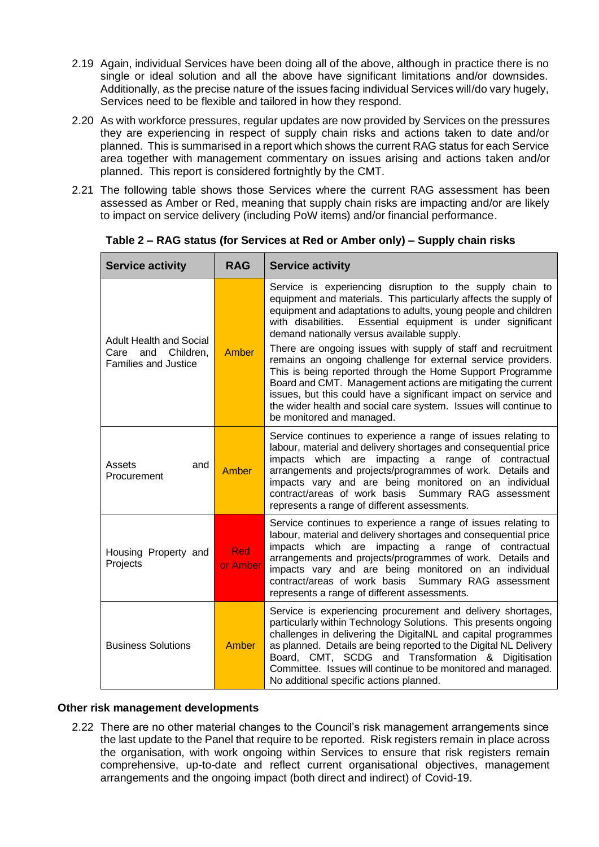- 2.19 Again, individual Services have been doing all of the above, although in practice there is no single or ideal solution and all the above have significant limitations and/or downsides. Additionally, as the precise nature of the issues facing individual Services will/do vary hugely, Services need to be flexible and tailored in how they respond.
- 2.20 As with workforce pressures, regular updates are now provided by Services on the pressures they are experiencing in respect of supply chain risks and actions taken to date and/or planned. This is summarised in a report which shows the current RAG status for each Service area together with management commentary on issues arising and actions taken and/or planned. This report is considered fortnightly by the CMT.
- 2.21 The following table shows those Services where the current RAG assessment has been assessed as Amber or Red, meaning that supply chain risks are impacting and/or are likely to impact on service delivery (including PoW items) and/or financial performance.

| <b>Service activity</b>                                                                   | <b>RAG</b>             | <b>Service activity</b>                                                                                                                                                                                                                                                                                                                                                                                                                                                                                                                                                                                                                                                                                                                           |
|-------------------------------------------------------------------------------------------|------------------------|---------------------------------------------------------------------------------------------------------------------------------------------------------------------------------------------------------------------------------------------------------------------------------------------------------------------------------------------------------------------------------------------------------------------------------------------------------------------------------------------------------------------------------------------------------------------------------------------------------------------------------------------------------------------------------------------------------------------------------------------------|
| <b>Adult Health and Social</b><br>Children,<br>Care<br>and<br><b>Families and Justice</b> | Amber                  | Service is experiencing disruption to the supply chain to<br>equipment and materials. This particularly affects the supply of<br>equipment and adaptations to adults, young people and children<br>Essential equipment is under significant<br>with disabilities.<br>demand nationally versus available supply.<br>There are ongoing issues with supply of staff and recruitment<br>remains an ongoing challenge for external service providers.<br>This is being reported through the Home Support Programme<br>Board and CMT. Management actions are mitigating the current<br>issues, but this could have a significant impact on service and<br>the wider health and social care system. Issues will continue to<br>be monitored and managed. |
| Assets<br>and<br>Procurement                                                              | Amber                  | Service continues to experience a range of issues relating to<br>labour, material and delivery shortages and consequential price<br>impacts which are impacting a range of contractual<br>arrangements and projects/programmes of work. Details and<br>impacts vary and are being monitored on an individual<br>contract/areas of work basis<br>Summary RAG assessment<br>represents a range of different assessments.                                                                                                                                                                                                                                                                                                                            |
| Housing Property and<br>Projects                                                          | <b>Red</b><br>or Amber | Service continues to experience a range of issues relating to<br>labour, material and delivery shortages and consequential price<br>impacts<br>which are<br>impacting a range of contractual<br>arrangements and projects/programmes of work. Details and<br>impacts vary and are being monitored on an individual<br>contract/areas of work basis<br>Summary RAG assessment<br>represents a range of different assessments.                                                                                                                                                                                                                                                                                                                      |
| <b>Business Solutions</b>                                                                 | Amber                  | Service is experiencing procurement and delivery shortages,<br>particularly within Technology Solutions. This presents ongoing<br>challenges in delivering the DigitalNL and capital programmes<br>as planned. Details are being reported to the Digital NL Delivery<br>Board, CMT, SCDG and Transformation & Digitisation<br>Committee. Issues will continue to be monitored and managed.<br>No additional specific actions planned.                                                                                                                                                                                                                                                                                                             |

**Table 2 – RAG status (for Services at Red or Amber only) – Supply chain risks**

#### **Other risk management developments**

2.22 There are no other material changes to the Council's risk management arrangements since the last update to the Panel that require to be reported. Risk registers remain in place across the organisation, with work ongoing within Services to ensure that risk registers remain comprehensive, up-to-date and reflect current organisational objectives, management arrangements and the ongoing impact (both direct and indirect) of Covid-19.